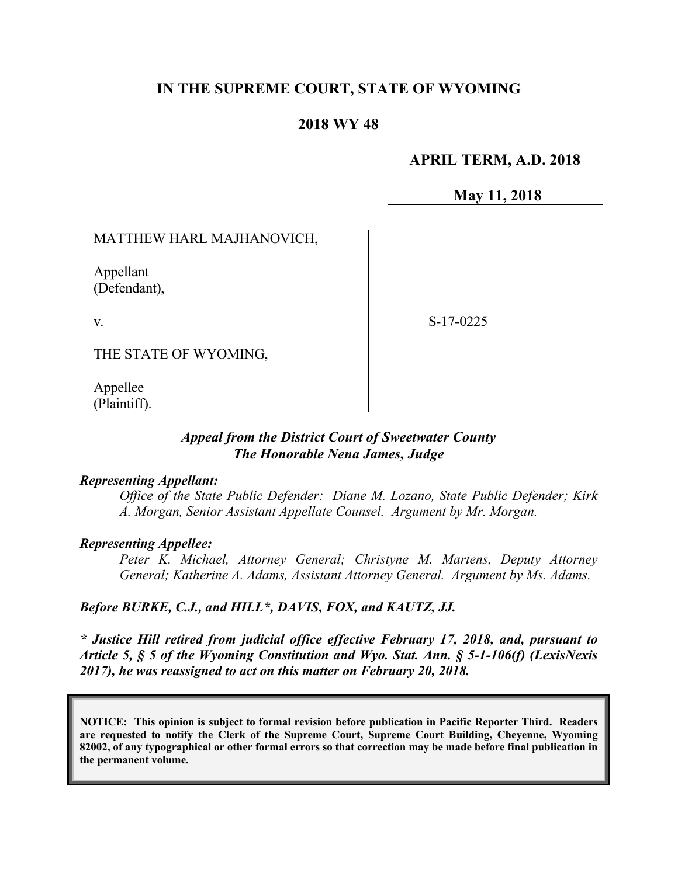# **IN THE SUPREME COURT, STATE OF WYOMING**

### **2018 WY 48**

## **APRIL TERM, A.D. 2018**

### **May 11, 2018**

### MATTHEW HARL MAJHANOVICH,

Appellant (Defendant),

v.

S-17-0225

THE STATE OF WYOMING,

Appellee (Plaintiff).

### *Appeal from the District Court of Sweetwater County The Honorable Nena James, Judge*

### *Representing Appellant:*

*Office of the State Public Defender: Diane M. Lozano, State Public Defender; Kirk A. Morgan, Senior Assistant Appellate Counsel. Argument by Mr. Morgan.*

#### *Representing Appellee:*

*Peter K. Michael, Attorney General; Christyne M. Martens, Deputy Attorney General; Katherine A. Adams, Assistant Attorney General. Argument by Ms. Adams.*

#### *Before BURKE, C.J., and HILL\*, DAVIS, FOX, and KAUTZ, JJ.*

*\* Justice Hill retired from judicial office effective February 17, 2018, and, pursuant to Article 5, § 5 of the Wyoming Constitution and Wyo. Stat. Ann. § 5-1-106(f) (LexisNexis 2017), he was reassigned to act on this matter on February 20, 2018.*

**NOTICE: This opinion is subject to formal revision before publication in Pacific Reporter Third. Readers are requested to notify the Clerk of the Supreme Court, Supreme Court Building, Cheyenne, Wyoming 82002, of any typographical or other formal errors so that correction may be made before final publication in the permanent volume.**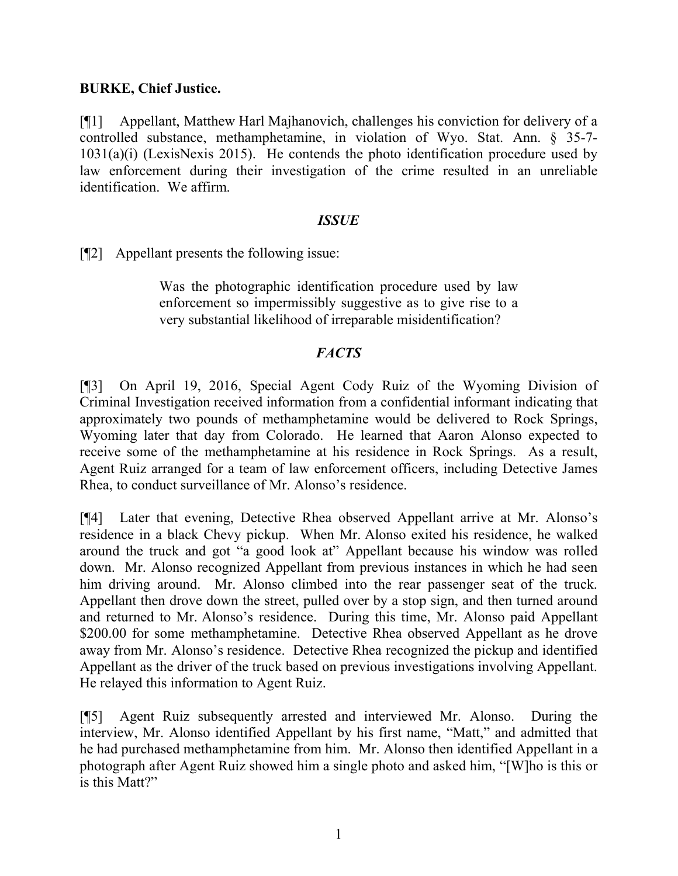## **BURKE, Chief Justice.**

[¶1] Appellant, Matthew Harl Majhanovich, challenges his conviction for delivery of a controlled substance, methamphetamine, in violation of Wyo. Stat. Ann. § 35-7- 1031(a)(i) (LexisNexis 2015). He contends the photo identification procedure used by law enforcement during their investigation of the crime resulted in an unreliable identification. We affirm.

## *ISSUE*

[¶2] Appellant presents the following issue:

Was the photographic identification procedure used by law enforcement so impermissibly suggestive as to give rise to a very substantial likelihood of irreparable misidentification?

## *FACTS*

[¶3] On April 19, 2016, Special Agent Cody Ruiz of the Wyoming Division of Criminal Investigation received information from a confidential informant indicating that approximately two pounds of methamphetamine would be delivered to Rock Springs, Wyoming later that day from Colorado. He learned that Aaron Alonso expected to receive some of the methamphetamine at his residence in Rock Springs. As a result, Agent Ruiz arranged for a team of law enforcement officers, including Detective James Rhea, to conduct surveillance of Mr. Alonso's residence.

[¶4] Later that evening, Detective Rhea observed Appellant arrive at Mr. Alonso's residence in a black Chevy pickup. When Mr. Alonso exited his residence, he walked around the truck and got "a good look at" Appellant because his window was rolled down. Mr. Alonso recognized Appellant from previous instances in which he had seen him driving around. Mr. Alonso climbed into the rear passenger seat of the truck. Appellant then drove down the street, pulled over by a stop sign, and then turned around and returned to Mr. Alonso's residence. During this time, Mr. Alonso paid Appellant \$200.00 for some methamphetamine. Detective Rhea observed Appellant as he drove away from Mr. Alonso's residence. Detective Rhea recognized the pickup and identified Appellant as the driver of the truck based on previous investigations involving Appellant. He relayed this information to Agent Ruiz.

[¶5] Agent Ruiz subsequently arrested and interviewed Mr. Alonso. During the interview, Mr. Alonso identified Appellant by his first name, "Matt," and admitted that he had purchased methamphetamine from him. Mr. Alonso then identified Appellant in a photograph after Agent Ruiz showed him a single photo and asked him, "[W]ho is this or is this Matt?"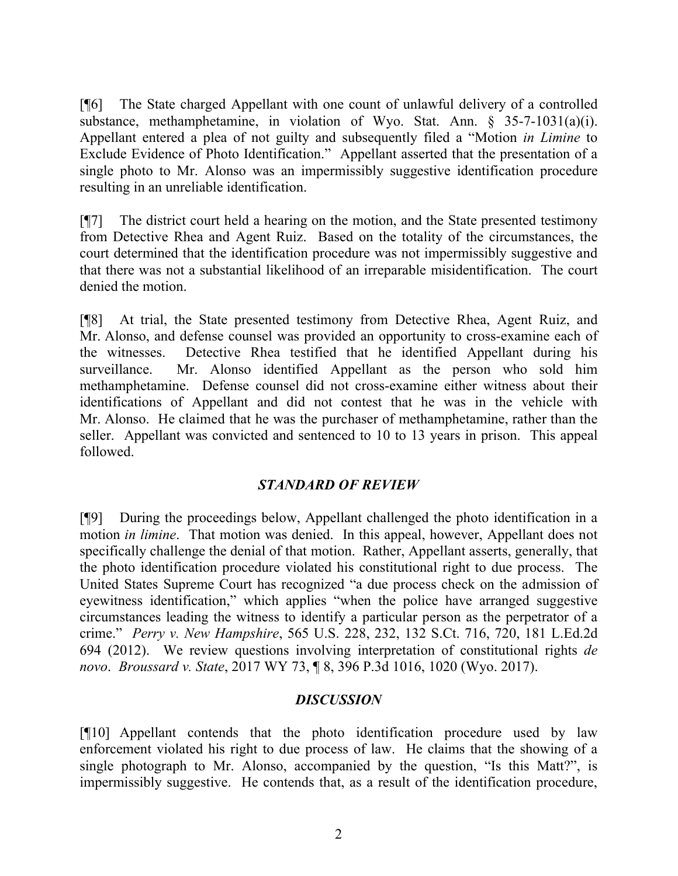[¶6] The State charged Appellant with one count of unlawful delivery of a controlled substance, methamphetamine, in violation of Wyo. Stat. Ann. § 35-7-1031(a)(i). Appellant entered a plea of not guilty and subsequently filed a "Motion *in Limine* to Exclude Evidence of Photo Identification." Appellant asserted that the presentation of a single photo to Mr. Alonso was an impermissibly suggestive identification procedure resulting in an unreliable identification.

[¶7] The district court held a hearing on the motion, and the State presented testimony from Detective Rhea and Agent Ruiz. Based on the totality of the circumstances, the court determined that the identification procedure was not impermissibly suggestive and that there was not a substantial likelihood of an irreparable misidentification. The court denied the motion.

[¶8] At trial, the State presented testimony from Detective Rhea, Agent Ruiz, and Mr. Alonso, and defense counsel was provided an opportunity to cross-examine each of the witnesses. Detective Rhea testified that he identified Appellant during his surveillance. Mr. Alonso identified Appellant as the person who sold him methamphetamine. Defense counsel did not cross-examine either witness about their identifications of Appellant and did not contest that he was in the vehicle with Mr. Alonso. He claimed that he was the purchaser of methamphetamine, rather than the seller. Appellant was convicted and sentenced to 10 to 13 years in prison. This appeal followed.

# *STANDARD OF REVIEW*

[¶9] During the proceedings below, Appellant challenged the photo identification in a motion *in limine*. That motion was denied. In this appeal, however, Appellant does not specifically challenge the denial of that motion. Rather, Appellant asserts, generally, that the photo identification procedure violated his constitutional right to due process. The United States Supreme Court has recognized "a due process check on the admission of eyewitness identification," which applies "when the police have arranged suggestive circumstances leading the witness to identify a particular person as the perpetrator of a crime." *Perry v. New Hampshire*, 565 U.S. 228, 232, 132 S.Ct. 716, 720, 181 L.Ed.2d 694 (2012). We review questions involving interpretation of constitutional rights *de novo*. *Broussard v. State*, 2017 WY 73, ¶ 8, 396 P.3d 1016, 1020 (Wyo. 2017).

# *DISCUSSION*

[¶10] Appellant contends that the photo identification procedure used by law enforcement violated his right to due process of law. He claims that the showing of a single photograph to Mr. Alonso, accompanied by the question, "Is this Matt?", is impermissibly suggestive. He contends that, as a result of the identification procedure,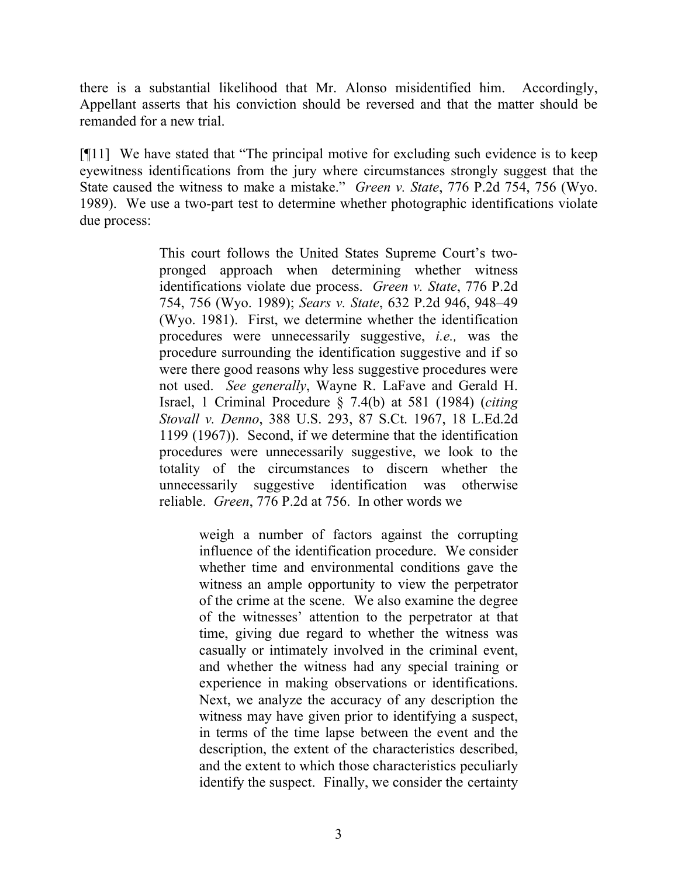there is a substantial likelihood that Mr. Alonso misidentified him. Accordingly, Appellant asserts that his conviction should be reversed and that the matter should be remanded for a new trial.

[¶11] We have stated that "The principal motive for excluding such evidence is to keep eyewitness identifications from the jury where circumstances strongly suggest that the State caused the witness to make a mistake." *Green v. State*, 776 P.2d 754, 756 (Wyo. 1989). We use a two-part test to determine whether photographic identifications violate due process:

> This court follows the United States Supreme Court's twopronged approach when determining whether witness identifications violate due process. *Green v. State*, 776 P.2d 754, 756 (Wyo. 1989); *Sears v. State*, 632 P.2d 946, 948–49 (Wyo. 1981). First, we determine whether the identification procedures were unnecessarily suggestive, *i.e.,* was the procedure surrounding the identification suggestive and if so were there good reasons why less suggestive procedures were not used. *See generally*, Wayne R. LaFave and Gerald H. Israel, 1 Criminal Procedure § 7.4(b) at 581 (1984) (*citing Stovall v. Denno*, 388 U.S. 293, 87 S.Ct. 1967, 18 L.Ed.2d 1199 (1967)). Second, if we determine that the identification procedures were unnecessarily suggestive, we look to the totality of the circumstances to discern whether the unnecessarily suggestive identification was otherwise reliable. *Green*, 776 P.2d at 756. In other words we

> > weigh a number of factors against the corrupting influence of the identification procedure. We consider whether time and environmental conditions gave the witness an ample opportunity to view the perpetrator of the crime at the scene. We also examine the degree of the witnesses' attention to the perpetrator at that time, giving due regard to whether the witness was casually or intimately involved in the criminal event, and whether the witness had any special training or experience in making observations or identifications. Next, we analyze the accuracy of any description the witness may have given prior to identifying a suspect, in terms of the time lapse between the event and the description, the extent of the characteristics described, and the extent to which those characteristics peculiarly identify the suspect. Finally, we consider the certainty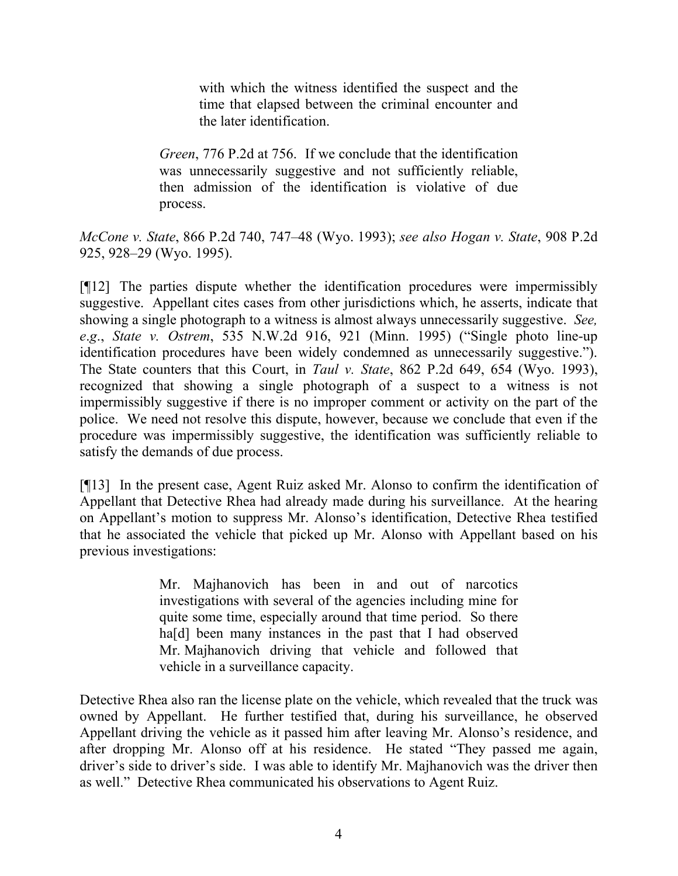with which the witness identified the suspect and the time that elapsed between the criminal encounter and the later identification.

*Green*, 776 P.2d at 756. If we conclude that the identification was unnecessarily suggestive and not sufficiently reliable, then admission of the identification is violative of due process.

*McCone v. State*, 866 P.2d 740, 747–48 (Wyo. 1993); *see also Hogan v. State*, 908 P.2d 925, 928–29 (Wyo. 1995).

[¶12] The parties dispute whether the identification procedures were impermissibly suggestive. Appellant cites cases from other jurisdictions which, he asserts, indicate that showing a single photograph to a witness is almost always unnecessarily suggestive. *See, e*.*g*., *State v. Ostrem*, 535 N.W.2d 916, 921 (Minn. 1995) ("Single photo line-up identification procedures have been widely condemned as unnecessarily suggestive."). The State counters that this Court, in *Taul v. State*, 862 P.2d 649, 654 (Wyo. 1993), recognized that showing a single photograph of a suspect to a witness is not impermissibly suggestive if there is no improper comment or activity on the part of the police. We need not resolve this dispute, however, because we conclude that even if the procedure was impermissibly suggestive, the identification was sufficiently reliable to satisfy the demands of due process.

[¶13] In the present case, Agent Ruiz asked Mr. Alonso to confirm the identification of Appellant that Detective Rhea had already made during his surveillance. At the hearing on Appellant's motion to suppress Mr. Alonso's identification, Detective Rhea testified that he associated the vehicle that picked up Mr. Alonso with Appellant based on his previous investigations:

> Mr. Majhanovich has been in and out of narcotics investigations with several of the agencies including mine for quite some time, especially around that time period. So there ha<sup>[d]</sup> been many instances in the past that I had observed Mr. Majhanovich driving that vehicle and followed that vehicle in a surveillance capacity.

Detective Rhea also ran the license plate on the vehicle, which revealed that the truck was owned by Appellant. He further testified that, during his surveillance, he observed Appellant driving the vehicle as it passed him after leaving Mr. Alonso's residence, and after dropping Mr. Alonso off at his residence. He stated "They passed me again, driver's side to driver's side. I was able to identify Mr. Majhanovich was the driver then as well." Detective Rhea communicated his observations to Agent Ruiz.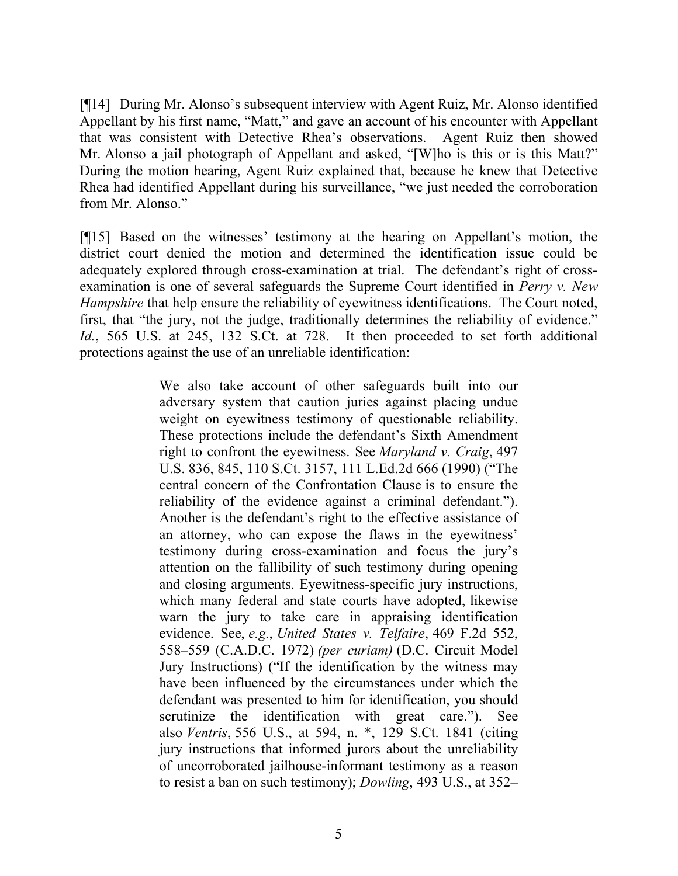[¶14] During Mr. Alonso's subsequent interview with Agent Ruiz, Mr. Alonso identified Appellant by his first name, "Matt," and gave an account of his encounter with Appellant that was consistent with Detective Rhea's observations. Agent Ruiz then showed Mr. Alonso a jail photograph of Appellant and asked, "[W]ho is this or is this Matt?" During the motion hearing, Agent Ruiz explained that, because he knew that Detective Rhea had identified Appellant during his surveillance, "we just needed the corroboration from Mr. Alonso."

[¶15] Based on the witnesses' testimony at the hearing on Appellant's motion, the district court denied the motion and determined the identification issue could be adequately explored through cross-examination at trial. The defendant's right of crossexamination is one of several safeguards the Supreme Court identified in *Perry v. New Hampshire* that help ensure the reliability of eyewitness identifications. The Court noted, first, that "the jury, not the judge, traditionally determines the reliability of evidence." *Id.*, 565 U.S. at 245, 132 S.Ct. at 728. It then proceeded to set forth additional protections against the use of an unreliable identification:

> We also take account of other safeguards built into our adversary system that caution juries against placing undue weight on eyewitness testimony of questionable reliability. These protections include the defendant's Sixth Amendment right to confront the eyewitness. See *Maryland v. Craig*, 497 U.S. 836, 845, 110 S.Ct. 3157, 111 L.Ed.2d 666 (1990) ("The central concern of the Confrontation Clause is to ensure the reliability of the evidence against a criminal defendant."). Another is the defendant's right to the effective assistance of an attorney, who can expose the flaws in the eyewitness' testimony during cross-examination and focus the jury's attention on the fallibility of such testimony during opening and closing arguments. Eyewitness-specific jury instructions, which many federal and state courts have adopted, likewise warn the jury to take care in appraising identification evidence. See, *e.g.*, *United States v. Telfaire*, 469 F.2d 552, 558–559 (C.A.D.C. 1972) *(per curiam)* (D.C. Circuit Model Jury Instructions) ("If the identification by the witness may have been influenced by the circumstances under which the defendant was presented to him for identification, you should scrutinize the identification with great care."). See also *Ventris*, 556 U.S., at 594, n. \*, 129 S.Ct. 1841 (citing jury instructions that informed jurors about the unreliability of uncorroborated jailhouse-informant testimony as a reason to resist a ban on such testimony); *Dowling*, 493 U.S., at 352–